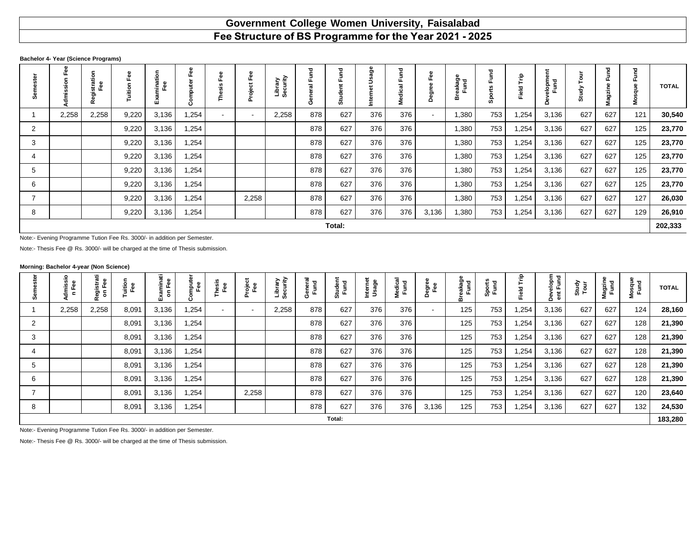# **Government College Women University, Faisalabad**

### **Bachelor 4- Year (Science Programs)**

|                          |                                                                                                            | 둥<br>stratic<br>Fee<br>Rē | uition | $\circ$<br>듛<br>٠Ě<br>шï | Ο     | ω<br>Φ<br>$\omega$<br>5<br>ω<br>은 | ee<br>ш.<br>ı<br>ò<br>۰ | orary<br>curity<br>تة قا<br>Sec | $\vec{E}$<br>щ<br>$\overline{a}$<br>ener<br>ပ | ਹ<br>ш<br>سە<br>ᄒ<br>នី | ლ<br>ლ | Fund<br>ಸ<br>ပ<br>등<br>≗ | Φ<br>ō<br>≏ | Ō.<br>斋<br>≃ | 꾿<br>န္တ | 훝<br>Field | Ĕ<br>alopm<br>Fund<br>≏ |     | ठ<br>ర్ణా<br>Σ | 꾿   | <b>TOTAL</b> |
|--------------------------|------------------------------------------------------------------------------------------------------------|---------------------------|--------|--------------------------|-------|-----------------------------------|-------------------------|---------------------------------|-----------------------------------------------|-------------------------|--------|--------------------------|-------------|--------------|----------|------------|-------------------------|-----|----------------|-----|--------------|
|                          | 2,258                                                                                                      | 2,258                     | 9,220  | 3,136                    | .254  |                                   | $\blacksquare$          | 2,258                           | 878                                           | 627                     | 376    | 376                      | $\sim$      | 1,380        | 753      | ,254       | 3,136                   | 627 | 627            | 121 | 30,540       |
| 2                        |                                                                                                            |                           | 9,220  | 3,136                    | 1,254 |                                   |                         |                                 | 878                                           | 627                     | 376    | 376                      |             | 1,380        | 753      | ,254       | 3,136                   | 627 | 627            | 125 | 23,770       |
| 3                        |                                                                                                            |                           | 9,220  | 3,136                    | 1,254 |                                   |                         |                                 | 878                                           | 627                     | 376    | 376                      |             | 1,380        | 753      | ,254       | 3,136                   | 627 | 627            | 125 | 23,770       |
|                          |                                                                                                            |                           | 9,220  | 3,136                    | 1,254 |                                   |                         |                                 | 878                                           | 627                     | 376    | 376                      |             | 1,380        | 753      | ,254       | 3,136                   | 627 | 627            | 125 | 23,770       |
| 5                        | 627<br>627<br>376<br>376<br>753<br>3,136<br>627<br>9,220<br>878<br>1,380<br>,254<br>125<br>3,136<br>1,254  |                           |        |                          |       |                                   |                         |                                 |                                               |                         |        |                          |             |              |          | 23,770     |                         |     |                |     |              |
| 6                        | 878<br>627<br>376<br>376<br>753<br>3,136<br>627<br>627<br>125<br>9,220<br>3,136<br>1,254<br>1,380<br>1,254 |                           |        |                          |       |                                   |                         |                                 |                                               |                         |        |                          |             |              |          | 23,770     |                         |     |                |     |              |
| $\overline{\phantom{a}}$ |                                                                                                            |                           | 9,220  | 3,136                    | 1,254 |                                   | 2,258                   |                                 | 878                                           | 627                     | 376    | 376                      |             | 1,380        | 753      | 1,254      | 3,136                   | 627 | 627            | 127 | 26,030       |
| 8                        |                                                                                                            |                           | 9,220  | 3,136                    | 1,254 |                                   |                         |                                 | 878                                           | 627                     | 376    | 376                      | 3,136       | 1,380        | 753      | ,254       | 3,136                   | 627 | 627            | 129 | 26,910       |
|                          |                                                                                                            |                           |        |                          |       |                                   |                         |                                 |                                               | Total:                  |        |                          |             |              |          |            |                         |     |                |     | 202,333      |

Note:- Evening Programme Tution Fee Rs. 3000/- in addition per Semester.

Note:- Thesis Fee @ Rs. 3000/- will be charged at the time of Thesis submission.

## **Morning: Bachelor 4-year (Non Science)**

|   | ္ဗ်<br>ω<br>dmis<br>n Fe | ÷<br>ōΦ<br>ទី ទ | juition<br>Fee | aminati<br><sup>on Fee</sup><br>$\mathsf{s}$ | 룥     | Thesis<br>Fee | roject<br>Fee | Library<br>Security | 를 곧<br>은 도 | Student<br>Fund | Internet<br>Usage | eal<br>12<br><b>Medic</b> | egree<br>Fee<br>۵ | eakag<br>Fund | Sports<br>Fund | È<br>Field | elopm<br>Fund<br>Devel | Study<br>Tour | Magzin<br>Fund | Mosque<br>Fund | <b>TOTAL</b> |
|---|--------------------------|-----------------|----------------|----------------------------------------------|-------|---------------|---------------|---------------------|------------|-----------------|-------------------|---------------------------|-------------------|---------------|----------------|------------|------------------------|---------------|----------------|----------------|--------------|
|   | 2,258                    | 2,258           | 8,091          | 3,136                                        | 1,254 |               | $\sim$        | 2,258               | 878        | 627             | 376               | 376                       | $\sim$            | 125           | 753            | 254,       | 3,136                  | 627           | 627            | 124            | 28,160       |
| 2 |                          |                 | 8,091          | 3,136                                        | 1,254 |               |               |                     | 878        | 627             | 376               | 376                       |                   | 125           | 753            | 254, ا     | 3,136                  | 627           | 627            | 128            | 21,390       |
| 3 |                          |                 | 8,091          | 3,136                                        | 1,254 |               |               |                     | 878        | 627             | 376               | 376                       |                   | 125           | 753            | i,254      | 3,136                  | 627           | 627            | 128            | 21,390       |
|   |                          |                 | 8,091          | 3,136                                        | 1,254 |               |               |                     | 878        | 627             | 376               | 376                       |                   | 125           | 753            | 1,254      | 3,136                  | 627           | 627            | 128            | 21,390       |
| 5 |                          |                 | 8,091          | 3,136                                        | 1,254 |               |               |                     | 878        | 627             | 376               | 376                       |                   | 125           | 753            | 254, ا     | 3,136                  | 627           | 627            | 128            | 21,390       |
| 6 |                          |                 | 8,091          | 3,136                                        | 1,254 |               |               |                     | 878        | 627             | 376               | 376                       |                   | 125           | 753            | 1,254      | 3,136                  | 627           | 627            | 128            | 21,390       |
|   |                          |                 | 8,091          | 3,136                                        | 1,254 |               | 2,258         |                     | 878        | 627             | 376               | 376                       |                   | 125           | 753            | 1,254      | 3,136                  | 627           | 627            | 120            | 23,640       |
| 8 |                          |                 | 8,091          | 3,136                                        | 1,254 |               |               |                     | 878        | 627             | 376               | 376                       | 3,136             | 125           | 753            | 254, ا     | 3,136                  | 627           | 627            | 132            | 24,530       |
|   |                          |                 |                |                                              |       |               |               |                     |            | Total:          |                   |                           |                   |               |                |            |                        |               |                |                | 183,280      |

Note:- Evening Programme Tution Fee Rs. 3000/- in addition per Semester.

Note:- Thesis Fee @ Rs. 3000/- will be charged at the time of Thesis submission.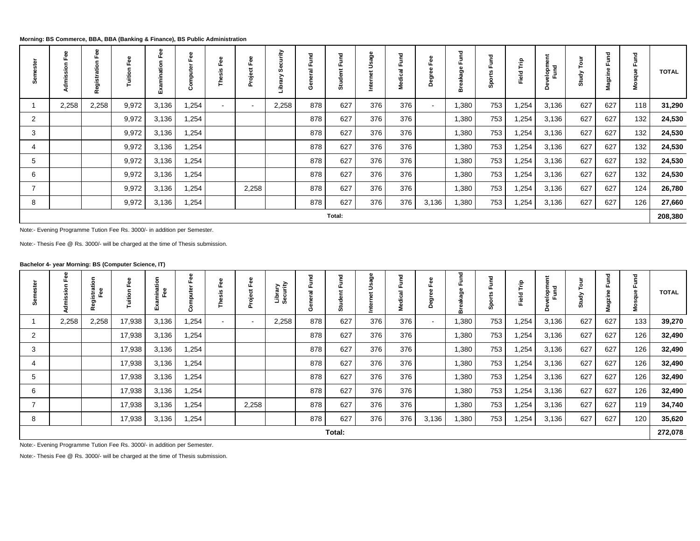**Morning: BS Commerce, BBA, BBA (Banking & Finance), BS Public Administration**

|   |       | 8<br>щ<br>c<br>٩<br>ŧ<br>Regi | $\circ$ | 8<br>٥. | CD.<br>G)<br>Ω | ω<br>盃<br>ш<br>$\omega$<br>77<br>ω | Ō<br>roject<br>n | ₹     | Furt <sub>1</sub><br>$\overline{a}$<br>æ<br>ج<br>و | 꾿<br>ш<br>G)<br>÷<br>ŏ | age | 꾿<br>Ξ<br>ш<br>ت<br>U | G)<br>œ<br>0<br>≏ | ъ<br>ក់ | ਹ   | È<br>Field | Fund<br>ale<br>$\Omega$ | ٥<br>ਰੂੰ | g<br>Φ<br>Magzin | ਹ<br>Ē | <b>TOTAL</b> |
|---|-------|-------------------------------|---------|---------|----------------|------------------------------------|------------------|-------|----------------------------------------------------|------------------------|-----|-----------------------|-------------------|---------|-----|------------|-------------------------|----------|------------------|--------|--------------|
|   | 2,258 | 2,258                         | 9,972   | 3,136   | 1,254          |                                    | $\blacksquare$   | 2,258 | 878                                                | 627                    | 376 | 376                   | $\sim$            | 1,380   | 753 | 1,254      | 3,136                   | 627      | 627              | 118    | 31,290       |
| 2 |       |                               | 9,972   | 3,136   | 1,254          |                                    |                  |       | 878                                                | 627                    | 376 | 376                   |                   | 1,380   | 753 | 254,       | 3,136                   | 627      | 627              | 132    | 24,530       |
| 3 |       |                               | 9,972   | 3,136   | 1,254          |                                    |                  |       | 878                                                | 627                    | 376 | 376                   |                   | 1,380   | 753 | 1,254      | 3,136                   | 627      | 627              | 132    | 24,530       |
|   |       |                               | 9,972   | 3,136   | 1,254          |                                    |                  |       | 878                                                | 627                    | 376 | 376                   |                   | 1,380   | 753 | 254. ا     | 3,136                   | 627      | 627              | 132    | 24,530       |
| 5 |       |                               | 9,972   | 3,136   | 1,254          |                                    |                  |       | 878                                                | 627                    | 376 | 376                   |                   | 1,380   | 753 | 254, ا     | 3,136                   | 627      | 627              | 132    | 24,530       |
| 6 |       |                               | 9,972   | 3,136   | 1,254          |                                    |                  |       | 878                                                | 627                    | 376 | 376                   |                   | 1,380   | 753 | 254,       | 3,136                   | 627      | 627              | 132    | 24,530       |
| ⇁ |       |                               | 9,972   | 3,136   | 254. ا         |                                    | 2,258            |       | 878                                                | 627                    | 376 | 376                   |                   | 1,380   | 753 | 1,254      | 3,136                   | 627      | 627              | 124    | 26,780       |
| 8 |       |                               | 9,972   | 3,136   | 1,254          |                                    |                  |       | 878                                                | 627                    | 376 | 376                   | 3,136             | 1,380   | 753 | ,254       | 3,136                   | 627      | 627              | 126    | 27,660       |
|   |       |                               |         |         |                |                                    |                  |       |                                                    | Total:                 |     |                       |                   |         |     |            |                         |          |                  |        | 208,380      |

Note:- Evening Programme Tution Fee Rs. 3000/- in addition per Semester.

Note:- Thesis Fee @ Rs. 3000/- will be charged at the time of Thesis submission.

## **Bachelor 4- year Morning: BS (Computer Science, IT)**

| ដឹ |       | istration<br>Fee<br>œ | Φ<br>ō<br>Tuition | ation<br>Fee<br>Ě<br>ш |       | ္ၿ<br>Lī.<br>$rac{16}{5}$<br>횝 | G)<br>Φ<br>ட்<br>ಕ<br>Projet<br>E | ary<br>Fi | g<br>Ō | 꾿<br>ಕೆ | age | 꼳<br>ட<br>ن<br>÷ | G)<br>-63<br>ర్టా<br>$\Omega$ | 꾿<br>កា | S   | 훕<br>Field <sup>-</sup> | 들<br>Furd<br>Δ | ਨੂੰ | g<br>lagzin<br>ż. | 꼳<br><u>ع</u> | <b>TOTAL</b> |
|----|-------|-----------------------|-------------------|------------------------|-------|--------------------------------|-----------------------------------|-----------|--------|---------|-----|------------------|-------------------------------|---------|-----|-------------------------|----------------|-----|-------------------|---------------|--------------|
|    | 2,258 | 2,258                 | 17,938            | 3,136                  | 1,254 | $\sim$                         | $\blacksquare$                    | 2,258     | 878    | 627     | 376 | 376              | $\sim$                        | 1,380   | 753 | 1,254                   | 3,136          | 627 | 627               | 133           | 39,270       |
| 2  |       |                       | 17,938            | 3,136                  | 1,254 |                                |                                   |           | 878    | 627     | 376 | 376              |                               | 1,380   | 753 | 1,254                   | 3,136          | 627 | 627               | 126           | 32,490       |
| 3  |       |                       | 17,938            | 3,136                  | 1,254 |                                |                                   |           | 878    | 627     | 376 | 376              |                               | 1,380   | 753 | 1,254                   | 3,136          | 627 | 627               | 126           | 32,490       |
|    |       |                       | 17,938            | 3,136                  | 1,254 |                                |                                   |           | 878    | 627     | 376 | 376              |                               | 1,380   | 753 | 1,254                   | 3,136          | 627 | 627               | 126           | 32,490       |
| ა  |       |                       | 17,938            | 3,136                  | 1,254 |                                |                                   |           | 878    | 627     | 376 | 376              |                               | 1,380   | 753 | 1,254                   | 3,136          | 627 | 627               | 126           | 32,490       |
| 6  |       |                       | 17,938            | 3,136                  | 1,254 |                                |                                   |           | 878    | 627     | 376 | 376              |                               | 1,380   | 753 | 1,254                   | 3,136          | 627 | 627               | 126           | 32,490       |
|    |       |                       | 17,938            | 3,136                  | 1,254 |                                | 2,258                             |           | 878    | 627     | 376 | 376              |                               | 1,380   | 753 | 1,254                   | 3,136          | 627 | 627               | 119           | 34,740       |
| 8  |       |                       | 17,938            | 3,136                  | 1,254 |                                |                                   |           | 878    | 627     | 376 | 376              | 3,136                         | 1,380   | 753 | 1,254                   | 3,136          | 627 | 627               | 120           | 35,620       |
|    |       |                       |                   |                        |       |                                |                                   |           |        | Total:  |     |                  |                               |         |     |                         |                |     |                   |               | 272,078      |

Note:- Evening Programme Tution Fee Rs. 3000/- in addition per Semester.

Note:- Thesis Fee @ Rs. 3000/- will be charged at the time of Thesis submission.